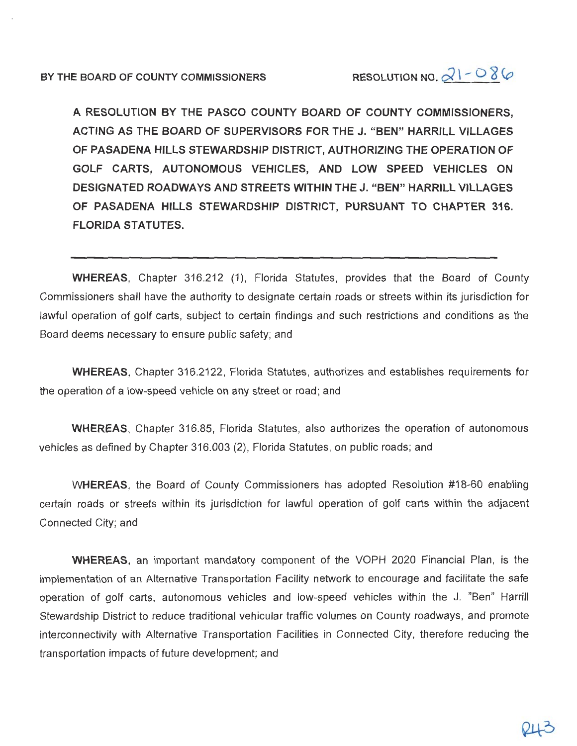A RESOLUTION BY THE PASCO COUNTY BOARD OF COUNTY COMMISSIONERS. ACTING AS THE BOARD OF SUPERVISORS FOR THE J. "BEN" HARRILL VILLAGES OF PASADENA HILLS STEWARDSHIP DISTRICT, AUTHORIZING THE OPERATION OF GOLF CARTS, AUTONOMOUS VEHICLES, AND LOW SPEED VEHICLES ON DESIGNATED ROADWAYS AND STREETS WITHIN THE J. "BEN" HARRILL VILLAGES OF PASADENA HILLS STEWARDSHIP DISTRICT, PURSUANT TO CHAPTER 316. **FLORIDA STATUTES.** 

**WHEREAS**, Chapter 316.212 (1), Florida Statutes, provides that the Board of County Commissioners shall have the authority to designate certain roads or streets within its jurisdiction for lawful operation of golf carts, subject to certain findings and such restrictions and conditions as the Board deems necessary to ensure public safety; and

WHEREAS, Chapter 316.2122, Florida Statutes, authorizes and establishes requirements for the operation of a low-speed vehicle on any street or road; and

**WHEREAS.** Chapter 316.85, Florida Statutes, also authorizes the operation of autonomous vehicles as defined by Chapter 316.003 (2), Florida Statutes, on public roads; and

WHEREAS, the Board of County Commissioners has adopted Resolution #18-60 enabling certain roads or streets within its jurisdiction for lawful operation of golf carts within the adjacent Connected City: and

WHEREAS, an important mandatory component of the VOPH 2020 Financial Plan, is the implementation of an Alternative Transportation Facility network to encourage and facilitate the safe operation of golf carts, autonomous vehicles and low-speed vehicles within the J. "Ben" Harrill Stewardship District to reduce traditional vehicular traffic volumes on County roadways, and promote interconnectivity with Alternative Transportation Facilities in Connected City, therefore reducing the transportation impacts of future development; and

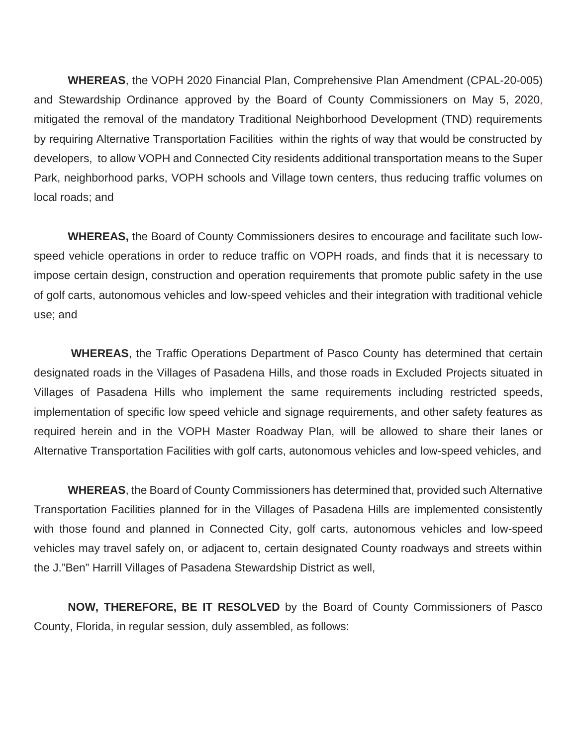**WHEREAS**, the VOPH 2020 Financial Plan, Comprehensive Plan Amendment (CPAL-20-005) and Stewardship Ordinance approved by the Board of County Commissioners on May 5, 2020, mitigated the removal of the mandatory Traditional Neighborhood Development (TND) requirements by requiring Alternative Transportation Facilities within the rights of way that would be constructed by developers, to allow VOPH and Connected City residents additional transportation means to the Super Park, neighborhood parks, VOPH schools and Village town centers, thus reducing traffic volumes on local roads; and

**WHEREAS,** the Board of County Commissioners desires to encourage and facilitate such lowspeed vehicle operations in order to reduce traffic on VOPH roads, and finds that it is necessary to impose certain design, construction and operation requirements that promote public safety in the use of golf carts, autonomous vehicles and low-speed vehicles and their integration with traditional vehicle use; and

**WHEREAS**, the Traffic Operations Department of Pasco County has determined that certain designated roads in the Villages of Pasadena Hills, and those roads in Excluded Projects situated in Villages of Pasadena Hills who implement the same requirements including restricted speeds, implementation of specific low speed vehicle and signage requirements, and other safety features as required herein and in the VOPH Master Roadway Plan, will be allowed to share their lanes or Alternative Transportation Facilities with golf carts, autonomous vehicles and low-speed vehicles, and

**WHEREAS**, the Board of County Commissioners has determined that, provided such Alternative Transportation Facilities planned for in the Villages of Pasadena Hills are implemented consistently with those found and planned in Connected City, golf carts, autonomous vehicles and low-speed vehicles may travel safely on, or adjacent to, certain designated County roadways and streets within the J."Ben" Harrill Villages of Pasadena Stewardship District as well,

**NOW, THEREFORE, BE IT RESOLVED** by the Board of County Commissioners of Pasco County, Florida, in regular session, duly assembled, as follows: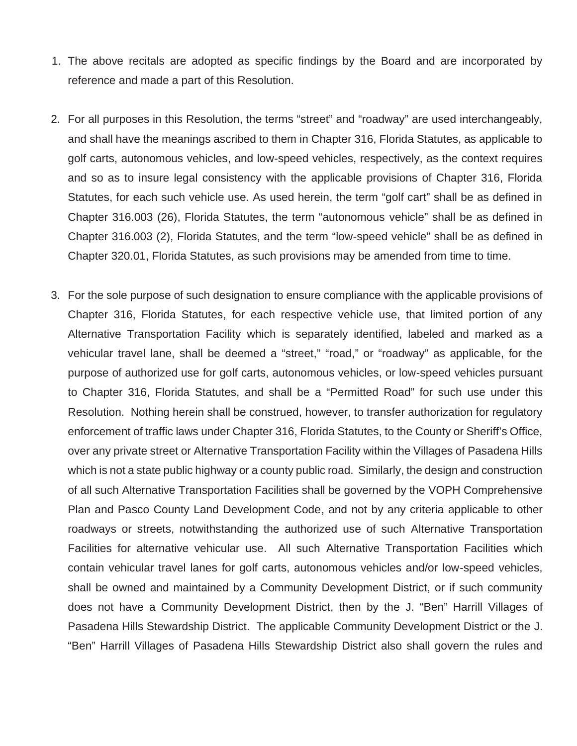- 1. The above recitals are adopted as specific findings by the Board and are incorporated by reference and made a part of this Resolution.
- 2. For all purposes in this Resolution, the terms "street" and "roadway" are used interchangeably, and shall have the meanings ascribed to them in Chapter 316, Florida Statutes, as applicable to golf carts, autonomous vehicles, and low-speed vehicles, respectively, as the context requires and so as to insure legal consistency with the applicable provisions of Chapter 316, Florida Statutes, for each such vehicle use. As used herein, the term "golf cart" shall be as defined in Chapter 316.003 (26), Florida Statutes, the term "autonomous vehicle" shall be as defined in Chapter 316.003 (2), Florida Statutes, and the term "low-speed vehicle" shall be as defined in Chapter 320.01, Florida Statutes, as such provisions may be amended from time to time.
- 3. For the sole purpose of such designation to ensure compliance with the applicable provisions of Chapter 316, Florida Statutes, for each respective vehicle use, that limited portion of any Alternative Transportation Facility which is separately identified, labeled and marked as a vehicular travel lane, shall be deemed a "street," "road," or "roadway" as applicable, for the purpose of authorized use for golf carts, autonomous vehicles, or low-speed vehicles pursuant to Chapter 316, Florida Statutes, and shall be a "Permitted Road" for such use under this Resolution. Nothing herein shall be construed, however, to transfer authorization for regulatory enforcement of traffic laws under Chapter 316, Florida Statutes, to the County or Sheriff's Office, over any private street or Alternative Transportation Facility within the Villages of Pasadena Hills which is not a state public highway or a county public road. Similarly, the design and construction of all such Alternative Transportation Facilities shall be governed by the VOPH Comprehensive Plan and Pasco County Land Development Code, and not by any criteria applicable to other roadways or streets, notwithstanding the authorized use of such Alternative Transportation Facilities for alternative vehicular use. All such Alternative Transportation Facilities which contain vehicular travel lanes for golf carts, autonomous vehicles and/or low-speed vehicles, shall be owned and maintained by a Community Development District, or if such community does not have a Community Development District, then by the J. "Ben" Harrill Villages of Pasadena Hills Stewardship District. The applicable Community Development District or the J. "Ben" Harrill Villages of Pasadena Hills Stewardship District also shall govern the rules and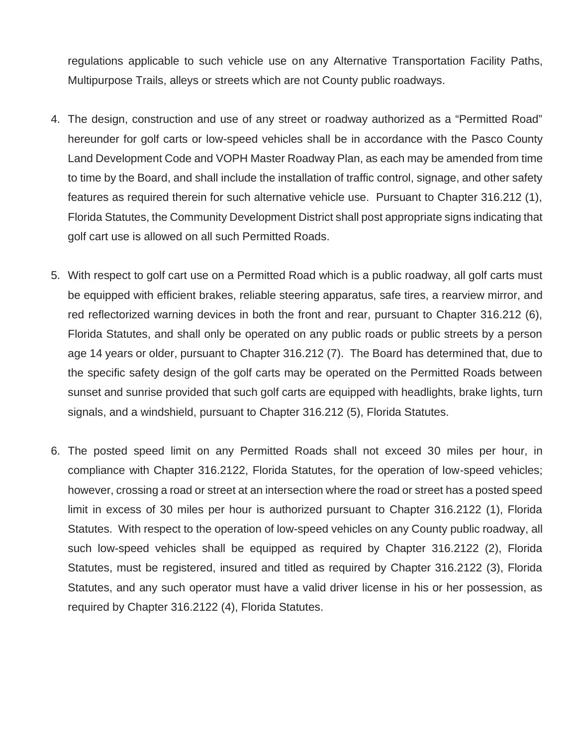regulations applicable to such vehicle use on any Alternative Transportation Facility Paths, Multipurpose Trails, alleys or streets which are not County public roadways.

- 4. The design, construction and use of any street or roadway authorized as a "Permitted Road" hereunder for golf carts or low-speed vehicles shall be in accordance with the Pasco County Land Development Code and VOPH Master Roadway Plan, as each may be amended from time to time by the Board, and shall include the installation of traffic control, signage, and other safety features as required therein for such alternative vehicle use. Pursuant to Chapter 316.212 (1), Florida Statutes, the Community Development District shall post appropriate signs indicating that golf cart use is allowed on all such Permitted Roads.
- 5. With respect to golf cart use on a Permitted Road which is a public roadway, all golf carts must be equipped with efficient brakes, reliable steering apparatus, safe tires, a rearview mirror, and red reflectorized warning devices in both the front and rear, pursuant to Chapter 316.212 (6), Florida Statutes, and shall only be operated on any public roads or public streets by a person age 14 years or older, pursuant to Chapter 316.212 (7). The Board has determined that, due to the specific safety design of the golf carts may be operated on the Permitted Roads between sunset and sunrise provided that such golf carts are equipped with headlights, brake lights, turn signals, and a windshield, pursuant to Chapter 316.212 (5), Florida Statutes.
- 6. The posted speed limit on any Permitted Roads shall not exceed 30 miles per hour, in compliance with Chapter 316.2122, Florida Statutes, for the operation of low-speed vehicles; however, crossing a road or street at an intersection where the road or street has a posted speed limit in excess of 30 miles per hour is authorized pursuant to Chapter 316.2122 (1), Florida Statutes. With respect to the operation of low-speed vehicles on any County public roadway, all such low-speed vehicles shall be equipped as required by Chapter 316.2122 (2), Florida Statutes, must be registered, insured and titled as required by Chapter 316.2122 (3), Florida Statutes, and any such operator must have a valid driver license in his or her possession, as required by Chapter 316.2122 (4), Florida Statutes.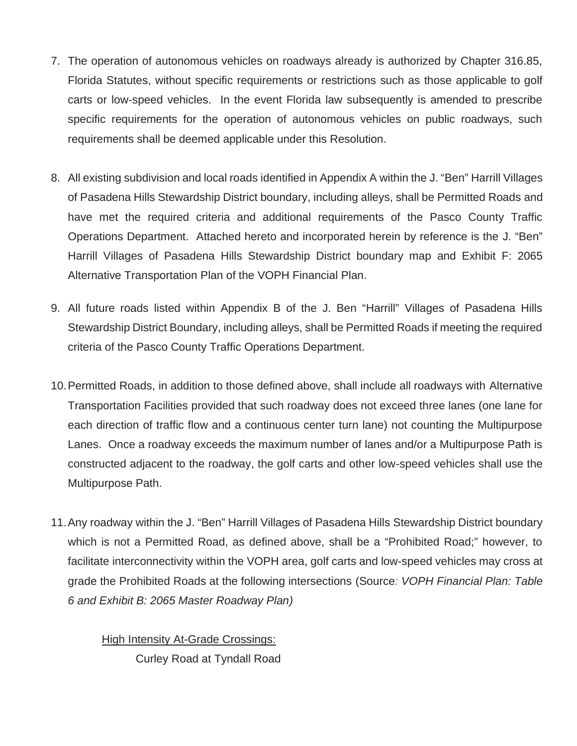- 7. The operation of autonomous vehicles on roadways already is authorized by Chapter 316.85, Florida Statutes, without specific requirements or restrictions such as those applicable to golf carts or low-speed vehicles. In the event Florida law subsequently is amended to prescribe specific requirements for the operation of autonomous vehicles on public roadways, such requirements shall be deemed applicable under this Resolution.
- 8. All existing subdivision and local roads identified in Appendix A within the J. "Ben" Harrill Villages of Pasadena Hills Stewardship District boundary, including alleys, shall be Permitted Roads and have met the required criteria and additional requirements of the Pasco County Traffic Operations Department. Attached hereto and incorporated herein by reference is the J. "Ben" Harrill Villages of Pasadena Hills Stewardship District boundary map and Exhibit F: 2065 Alternative Transportation Plan of the VOPH Financial Plan.
- 9. All future roads listed within Appendix B of the J. Ben "Harrill" Villages of Pasadena Hills Stewardship District Boundary, including alleys, shall be Permitted Roads if meeting the required criteria of the Pasco County Traffic Operations Department.
- 10. Permitted Roads, in addition to those defined above, shall include all roadways with Alternative Transportation Facilities provided that such roadway does not exceed three lanes (one lane for each direction of traffic flow and a continuous center turn lane) not counting the Multipurpose Lanes. Once a roadway exceeds the maximum number of lanes and/or a Multipurpose Path is constructed adjacent to the roadway, the golf carts and other low-speed vehicles shall use the Multipurpose Path.
- 11. Any roadway within the J. "Ben" Harrill Villages of Pasadena Hills Stewardship District boundary which is not a Permitted Road, as defined above, shall be a "Prohibited Road;" however, to facilitate interconnectivity within the VOPH area, golf carts and low-speed vehicles may cross at grade the Prohibited Roads at the following intersections (Source*: VOPH Financial Plan: Table 6 and Exhibit B: 2065 Master Roadway Plan)*

**High Intensity At-Grade Crossings:** Curley Road at Tyndall Road